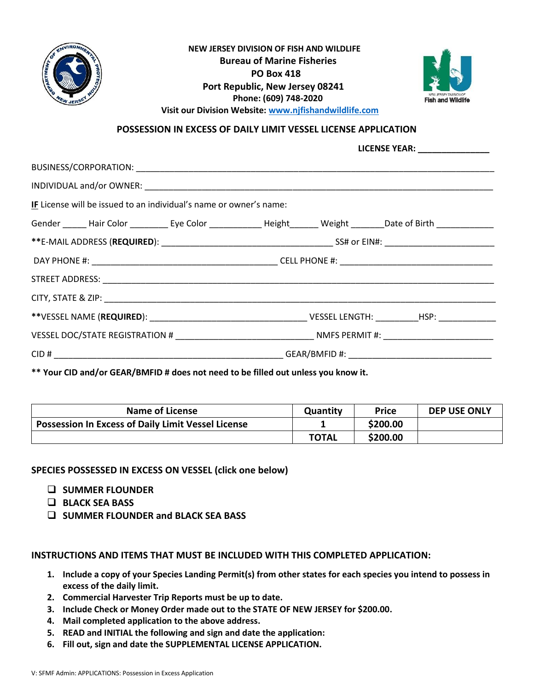

## **NEW JERSEY DIVISION OF FISH AND WILDLIFE Bureau of Marine Fisheries PO Box 418 Port Republic, New Jersey 08241 Phone: (609) 748-2020 Visit our Division Website: [www.njfishandwildlife.com](http://www.njfishandwildlife.com/)**



**POSSESSION IN EXCESS OF DAILY LIMIT VESSEL LICENSE APPLICATION**

**LICENSE YEAR: \_\_\_\_\_\_\_\_\_\_\_\_\_\_\_**

| IF License will be issued to an individual's name or owner's name: |                                                                                                                            |  |  |  |  |  |
|--------------------------------------------------------------------|----------------------------------------------------------------------------------------------------------------------------|--|--|--|--|--|
|                                                                    | Gender ______ Hair Color ___________ Eye Color _______________ Height ________ Weight ________Date of Birth ______________ |  |  |  |  |  |
|                                                                    |                                                                                                                            |  |  |  |  |  |
|                                                                    |                                                                                                                            |  |  |  |  |  |
|                                                                    |                                                                                                                            |  |  |  |  |  |
|                                                                    |                                                                                                                            |  |  |  |  |  |
|                                                                    |                                                                                                                            |  |  |  |  |  |
|                                                                    |                                                                                                                            |  |  |  |  |  |
|                                                                    |                                                                                                                            |  |  |  |  |  |
|                                                                    |                                                                                                                            |  |  |  |  |  |

**\*\* Your CID and/or GEAR/BMFID # does not need to be filled out unless you know it.**

| <b>Name of License</b>                                    | Quantity     | <b>Price</b> | <b>DEP USE ONLY</b> |
|-----------------------------------------------------------|--------------|--------------|---------------------|
| <b>Possession In Excess of Daily Limit Vessel License</b> |              | \$200.00     |                     |
|                                                           | <b>TOTAL</b> | \$200.00     |                     |

**SPECIES POSSESSED IN EXCESS ON VESSEL (click one below)**

- ❑ **SUMMER FLOUNDER**
- ❑ **BLACK SEA BASS**
- ❑ **SUMMER FLOUNDER and BLACK SEA BASS**

**INSTRUCTIONS AND ITEMS THAT MUST BE INCLUDED WITH THIS COMPLETED APPLICATION:**

- **1. Include a copy of your Species Landing Permit(s) from other states for each species you intend to possess in excess of the daily limit.**
- **2. Commercial Harvester Trip Reports must be up to date.**
- **3. Include Check or Money Order made out to the STATE OF NEW JERSEY for \$200.00.**
- **4. Mail completed application to the above address.**
- **5. READ and INITIAL the following and sign and date the application:**
- **6. Fill out, sign and date the SUPPLEMENTAL LICENSE APPLICATION.**